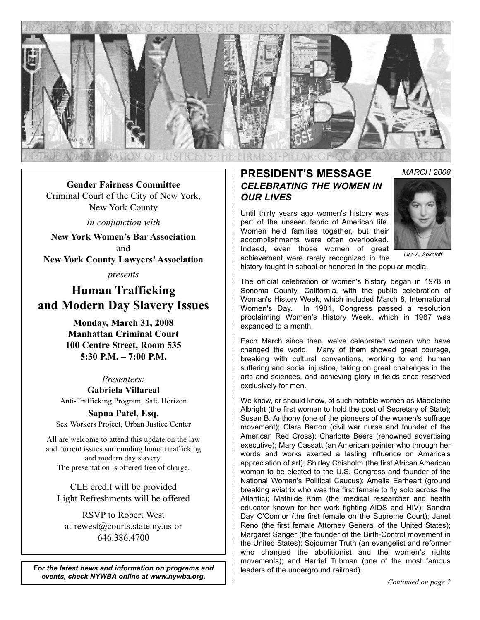

**Gender Fairness Committee** Criminal Court of the City of New York, New York County

*In conjunction with*

**New York Women's Bar Association** and **New York County Lawyers' Association**

*presents*

**Human Trafficking and Modern Day Slavery Issues**

> **Monday, March 31, 2008 Manhattan Criminal Court 100 Centre Street, Room 535 5:30 P.M. – 7:00 P.M.**

> > *Presenters:*

**Gabriela Villareal** Anti-Trafficking Program, Safe Horizon

**Sapna Patel, Esq.** Sex Workers Project, Urban Justice Center

All are welcome to attend this update on the law and current issues surrounding human trafficking and modern day slavery. The presentation is offered free of charge.

CLE credit will be provided Light Refreshments will be offered

RSVP to Robert West at rewest@courts.state.ny.us or 646.386.4700

*For the latest news and information on programs and events, check NYWBA online at www.nywba.org. Continued on page 2*

## **PRESIDENT'S MESSAGE** *CELEBRATING THE WOMEN IN OUR LIVES*

Until thirty years ago women's history was part of the unseen fabric of American life. Women held families together, but their accomplishments were often overlooked. Indeed, even those women of great achievement were rarely recognized in the



*Lisa A. Sokoloff*

history taught in school or honored in the popular media.

The official celebration of women's history began in 1978 in Sonoma County, California, with the public celebration of Woman's History Week, which included March 8, International Women's Day. In 1981, Congress passed a resolution proclaiming Women's History Week, which in 1987 was expanded to a month.

Each March since then, we've celebrated women who have changed the world. Many of them showed great courage, breaking with cultural conventions, working to end human suffering and social injustice, taking on great challenges in the arts and sciences, and achieving glory in fields once reserved exclusively for men.

We know, or should know, of such notable women as Madeleine Albright (the first woman to hold the post of Secretary of State); Susan B. Anthony (one of the pioneers of the women's suffrage movement); Clara Barton (civil war nurse and founder of the American Red Cross); Charlotte Beers (renowned advertising executive); Mary Cassatt (an American painter who through her words and works exerted a lasting influence on America's appreciation of art); Shirley Chisholm (the first African American woman to be elected to the U.S. Congress and founder of the National Women's Political Caucus); Amelia Earheart (ground breaking aviatrix who was the first female to fly solo across the Atlantic); Mathilde Krim (the medical researcher and health educator known for her work fighting AIDS and HIV); Sandra Day O'Connor (the first female on the Supreme Court); Janet Reno (the first female Attorney General of the United States); Margaret Sanger (the founder of the Birth-Control movement in the United States); Sojourner Truth (an evangelist and reformer who changed the abolitionist and the women's rights movements); and Harriet Tubman (one of the most famous leaders of the underground railroad).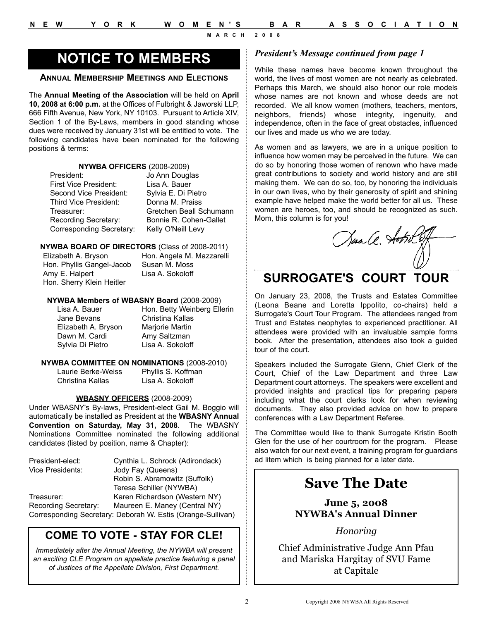# **NOTICE TO MEMBERS**

## **ANNUAL MEMBERSHIP MEETINGS AND ELECTIONS**

The **Annual Meeting of the Association** will be held on **April 10, 2008 at 6:00 p.m.** at the Offices of Fulbright & Jaworski LLP, 666 Fifth Avenue, New York, NY 10103. Pursuant to Article XIV, Section 1 of the By-Laws, members in good standing whose dues were received by January 31st will be entitled to vote. The following candidates have been nominated for the following positions & terms:

#### **NYWBA OFFICERS** (2008-2009)

President: Jo Ann Douglas First Vice President: Lisa A. Bauer Second Vice President: Sylvia E. Di Pietro Third Vice President: Donna M. Praiss Recording Secretary: Bonnie R. Cohen-Gallet Corresponding Secretary: Kelly O'Neill Levy

Treasurer: Gretchen Beall Schumann

#### **NYWBA BOARD OF DIRECTORS** (Class of 2008-2011)

Elizabeth A. Bryson Hon. Angela M. Mazzarelli Hon. Phyllis Gangel-Jacob Susan M. Moss Amy E. Halpert Lisa A. Sokoloff Hon. Sherry Klein Heitler

#### **NYWBA Members of WBASNY Board** (2008-2009)

| Lisa A. Bauer       |
|---------------------|
| Jane Bevans         |
| Elizabeth A. Bryson |
| Dawn M. Cardi       |
| Sylvia Di Pietro    |

Hon. Betty Weinberg Ellerin Christina Kallas Marjorie Martin Amy Saltzman Lisa A. Sokoloff

#### **NYWBA COMMITTEE ON NOMINATIONS** (2008-2010)

Laurie Berke-Weiss Phyllis S. Koffman Christina Kallas Lisa A. Sokoloff

### **WBASNY OFFICERS** (2008-2009)

Under WBASNY's By-laws, President-elect Gail M. Boggio will automatically be installed as President at the **WBASNY Annual Convention on Saturday, May 31, 2008**. The WBASNY Nominations Committee nominated the following additional candidates (listed by position, name & Chapter):

| President-elect:     | Cynthia L. Schrock (Adirondack)                             |
|----------------------|-------------------------------------------------------------|
| Vice Presidents:     | Jody Fay (Queens)                                           |
|                      | Robin S. Abramowitz (Suffolk)                               |
|                      | Teresa Schiller (NYWBA)                                     |
| Treasurer:           | Karen Richardson (Western NY)                               |
| Recording Secretary: | Maureen E. Maney (Central NY)                               |
|                      | Corresponding Secretary: Deborah W. Estis (Orange-Sullivan) |

## **COME TO VOTE - STAY FOR CLE!**

*Immediately after the Annual Meeting, the NYWBA will present an exciting CLE Program on appellate practice featuring a panel of Justices of the Appellate Division, First Department.*

## *President's Message continued from page 1*

While these names have become known throughout the world, the lives of most women are not nearly as celebrated. Perhaps this March, we should also honor our role models whose names are not known and whose deeds are not recorded. We all know women (mothers, teachers, mentors, neighbors, friends) whose integrity, ingenuity, and independence, often in the face of great obstacles, influenced our lives and made us who we are today.

As women and as lawyers, we are in a unique position to influence how women may be perceived in the future. We can do so by honoring those women of renown who have made great contributions to society and world history and are still making them. We can do so, too, by honoring the individuals in our own lives, who by their generosity of spirit and shining example have helped make the world better for all us. These women are heroes, too, and should be recognized as such. Mom, this column is for you!

Sua A. Aotril

## **SURROGATE'S COURT TOUR**

On January 23, 2008, the Trusts and Estates Committee (Leona Beane and Loretta Ippolito, co-chairs) held a Surrogate's Court Tour Program. The attendees ranged from Trust and Estates neophytes to experienced practitioner. All attendees were provided with an invaluable sample forms book. After the presentation, attendees also took a guided tour of the court.

Speakers included the Surrogate Glenn, Chief Clerk of the Court, Chief of the Law Department and three Law Department court attorneys. The speakers were excellent and provided insights and practical tips for preparing papers including what the court clerks look for when reviewing documents. They also provided advice on how to prepare conferences with a Law Department Referee.

The Committee would like to thank Surrogate Kristin Booth Glen for the use of her courtroom for the program. Please also watch for our next event, a training program for guardians ad litem which is being planned for a later date.

# **Save The Date**

**June 5, 2008 NYWBA's Annual Dinner**

*Honoring* 

Chief Administrative Judge Ann Pfau and Mariska Hargitay of SVU Fame at Capitale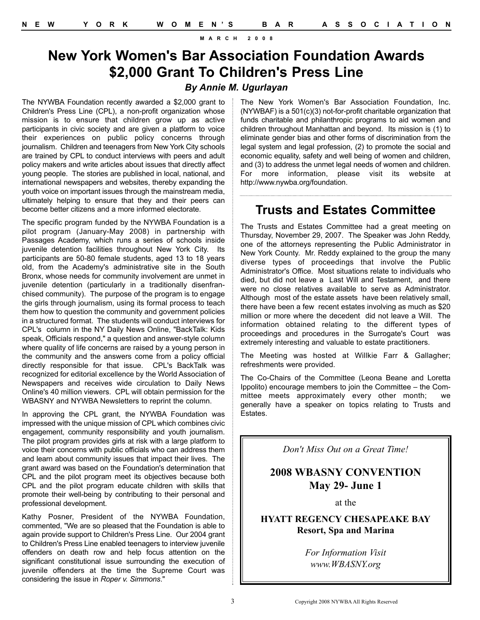# **New York Women's Bar Association Foundation Awards \$2,000 Grant To Children's Press Line**

## *By Annie M. Ugurlayan*

The NYWBA Foundation recently awarded a \$2,000 grant to Children's Press Line (CPL), a non-profit organization whose mission is to ensure that children grow up as active participants in civic society and are given a platform to voice their experiences on public policy concerns through journalism. Children and teenagers from New York City schools are trained by CPL to conduct interviews with peers and adult policy makers and write articles about issues that directly affect young people. The stories are published in local, national, and international newspapers and websites, thereby expanding the youth voice on important issues through the mainstream media, ultimately helping to ensure that they and their peers can become better citizens and a more informed electorate.

The specific program funded by the NYWBA Foundation is a pilot program (January-May 2008) in partnership with Passages Academy, which runs a series of schools inside juvenile detention facilities throughout New York City. Its participants are 50-80 female students, aged 13 to 18 years old, from the Academy's administrative site in the South Bronx, whose needs for community involvement are unmet in juvenile detention (particularly in a traditionally disenfranchised community). The purpose of the program is to engage the girls through journalism, using its formal process to teach them how to question the community and government policies in a structured format. The students will conduct interviews for CPL's column in the NY Daily News Online, "BackTalk: Kids speak, Officials respond," a question and answer-style column where quality of life concerns are raised by a young person in the community and the answers come from a policy official directly responsible for that issue. CPL's BackTalk was recognized for editorial excellence by the World Association of Newspapers and receives wide circulation to Daily News Online's 40 million viewers. CPL will obtain permission for the WBASNY and NYWBA Newsletters to reprint the column.

In approving the CPL grant, the NYWBA Foundation was impressed with the unique mission of CPL which combines civic engagement, community responsibility and youth journalism. The pilot program provides girls at risk with a large platform to voice their concerns with public officials who can address them and learn about community issues that impact their lives. The grant award was based on the Foundation's determination that CPL and the pilot program meet its objectives because both CPL and the pilot program educate children with skills that promote their well-being by contributing to their personal and professional development.

Kathy Posner, President of the NYWBA Foundation, commented, "We are so pleased that the Foundation is able to again provide support to Children's Press Line. Our 2004 grant to Children's Press Line enabled teenagers to interview juvenile offenders on death row and help focus attention on the significant constitutional issue surrounding the execution of juvenile offenders at the time the Supreme Court was considering the issue in *Roper v. Simmons*."

The New York Women's Bar Association Foundation, Inc. (NYWBAF) is a 501(c)(3) not-for-profit charitable organization that funds charitable and philanthropic programs to aid women and children throughout Manhattan and beyond. Its mission is (1) to eliminate gender bias and other forms of discrimination from the legal system and legal profession, (2) to promote the social and economic equality, safety and well being of women and children, and (3) to address the unmet legal needs of women and children. For more information, please visit its website at http://www.nywba.org/foundation.

## **Trusts and Estates Committee**

The Trusts and Estates Committee had a great meeting on Thursday, November 29, 2007. The Speaker was John Reddy, one of the attorneys representing the Public Administrator in New York County. Mr. Reddy explained to the group the many diverse types of proceedings that involve the Public Administrator's Office. Most situations relate to individuals who died, but did not leave a Last Will and Testament, and there were no close relatives available to serve as Administrator. Although most of the estate assets have been relatively small, there have been a few recent estates involving as much as \$20 million or more where the decedent did not leave a Will. The information obtained relating to the different types of proceedings and procedures in the Surrogate's Court was extremely interesting and valuable to estate practitioners.

The Meeting was hosted at Willkie Farr & Gallagher; refreshments were provided.

The Co-Chairs of the Committee (Leona Beane and Loretta Ippolito) encourage members to join the Committee – the Committee meets approximately every other month; we generally have a speaker on topics relating to Trusts and Estates.

*Don't Miss Out on a Great Time!* 

## **2008 WBASNY CONVENTION May 29- June 1**

at the

**HYATT REGENCY CHESAPEAKE BAY Resort, Spa and Marina**

> *For Information Visit www.WBASNY.org*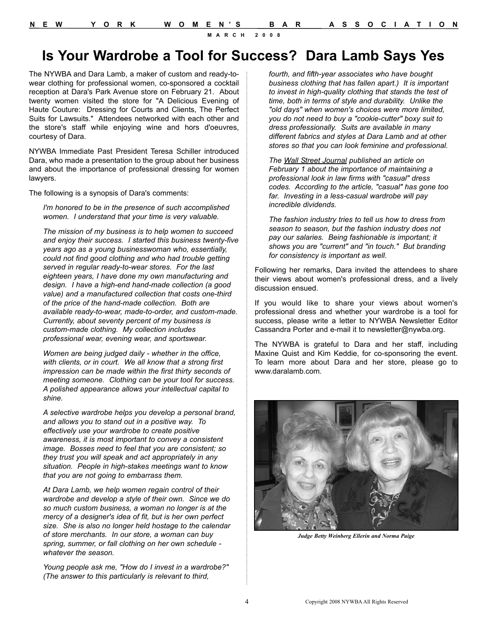# **Is Your Wardrobe a Tool for Success? Dara Lamb Says Yes**

The NYWBA and Dara Lamb, a maker of custom and ready-towear clothing for professional women, co-sponsored a cocktail reception at Dara's Park Avenue store on February 21. About twenty women visited the store for "A Delicious Evening of Haute Couture: Dressing for Courts and Clients, The Perfect Suits for Lawsuits." Attendees networked with each other and the store's staff while enjoying wine and hors d'oeuvres, courtesy of Dara.

NYWBA Immediate Past President Teresa Schiller introduced Dara, who made a presentation to the group about her business and about the importance of professional dressing for women lawyers.

The following is a synopsis of Dara's comments:

*I'm honored to be in the presence of such accomplished women. I understand that your time is very valuable.*

*The mission of my business is to help women to succeed and enjoy their success. I started this business twenty-five years ago as a young businesswoman who, essentially, could not find good clothing and who had trouble getting served in regular ready-to-wear stores. For the last eighteen years, I have done my own manufacturing and design. I have a high-end hand-made collection (a good value) and a manufactured collection that costs one-third of the price of the hand-made collection. Both are available ready-to-wear, made-to-order, and custom-made. Currently, about seventy percent of my business is custom-made clothing. My collection includes professional wear, evening wear, and sportswear.*

*Women are being judged daily - whether in the office, with clients, or in court. We all know that a strong first impression can be made within the first thirty seconds of meeting someone. Clothing can be your tool for success. A polished appearance allows your intellectual capital to shine.*

*A selective wardrobe helps you develop a personal brand, and allows you to stand out in a positive way. To effectively use your wardrobe to create positive awareness, it is most important to convey a consistent image. Bosses need to feel that you are consistent; so they trust you will speak and act appropriately in any situation. People in high-stakes meetings want to know that you are not going to embarrass them.*

*At Dara Lamb, we help women regain control of their wardrobe and develop a style of their own. Since we do so much custom business, a woman no longer is at the mercy of a designer's idea of fit, but is her own perfect size. She is also no longer held hostage to the calendar of store merchants. In our store, a woman can buy spring, summer, or fall clothing on her own schedule whatever the season.*

*Young people ask me, "How do I invest in a wardrobe?" (The answer to this particularly is relevant to third,* 

*fourth, and fifth-year associates who have bought business clothing that has fallen apart.) It is important to invest in high-quality clothing that stands the test of time, both in terms of style and durability. Unlike the "old days" when women's choices were more limited, you do not need to buy a "cookie-cutter" boxy suit to dress professionally. Suits are available in many different fabrics and styles at Dara Lamb and at other stores so that you can look feminine and professional.*

*The Wall Street Journal published an article on February 1 about the importance of maintaining a professional look in law firms with "casual" dress codes. According to the article, "casual" has gone too far. Investing in a less-casual wardrobe will pay incredible dividends.*

*The fashion industry tries to tell us how to dress from season to season, but the fashion industry does not pay our salaries. Being fashionable is important; it shows you are "current" and "in touch." But branding for consistency is important as well.*

Following her remarks, Dara invited the attendees to share their views about women's professional dress, and a lively discussion ensued.

If you would like to share your views about women's professional dress and whether your wardrobe is a tool for success, please write a letter to NYWBA Newsletter Editor Cassandra Porter and e-mail it to newsletter@nywba.org.

The NYWBA is grateful to Dara and her staff, including Maxine Quist and Kim Keddie, for co-sponsoring the event. To learn more about Dara and her store, please go to www.daralamb.com.



*Judge Betty Weinberg Ellerin and Norma Paige*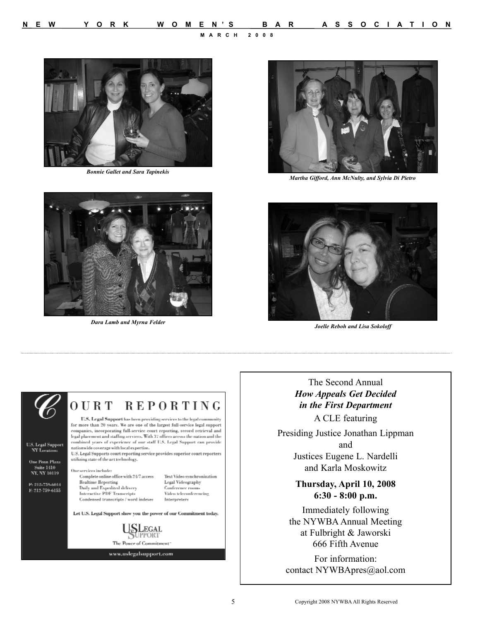

*Bonnie Gallet and Sara Tapinekis* 



*Dara Lamb and Myrna Felder* 



*Martha Gifford, Ann McNulty, and Sylvia Di Pietro*



*Joelle Reboh and Lisa Sokoloff* 



The Second Annual *How Appeals Get Decided in the First Department* A CLE featuring

Presiding Justice Jonathan Lippman and Justices Eugene L. Nardelli and Karla Moskowitz

## **Thursday, April 10, 2008 6:30 - 8:00 p.m.**

Immediately following the NYWBA Annual Meeting at Fulbright & Jaworski 666 Fifth Avenue

For information: contact NYWBApres@aol.com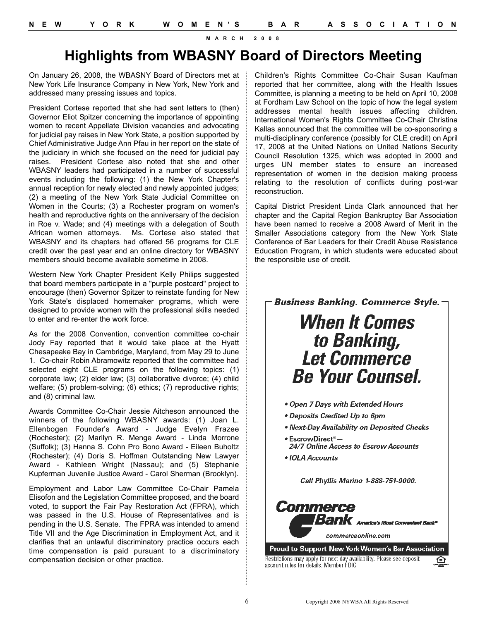# **Highlights from WBASNY Board of Directors Meeting**

On January 26, 2008, the WBASNY Board of Directors met at New York Life Insurance Company in New York, New York and addressed many pressing issues and topics.

President Cortese reported that she had sent letters to (then) Governor Eliot Spitzer concerning the importance of appointing women to recent Appellate Division vacancies and advocating for judicial pay raises in New York State, a position supported by Chief Administrative Judge Ann Pfau in her report on the state of the judiciary in which she focused on the need for judicial pay raises. President Cortese also noted that she and other WBASNY leaders had participated in a number of successful events including the following: (1) the New York Chapter's annual reception for newly elected and newly appointed judges; (2) a meeting of the New York State Judicial Committee on Women in the Courts; (3) a Rochester program on women's health and reproductive rights on the anniversary of the decision in Roe v. Wade; and (4) meetings with a delegation of South African women attorneys. Ms. Cortese also stated that WBASNY and its chapters had offered 56 programs for CLE credit over the past year and an online directory for WBASNY members should become available sometime in 2008.

Western New York Chapter President Kelly Philips suggested that board members participate in a "purple postcard" project to encourage (then) Governor Spitzer to reinstate funding for New York State's displaced homemaker programs, which were designed to provide women with the professional skills needed to enter and re-enter the work force.

As for the 2008 Convention, convention committee co-chair Jody Fay reported that it would take place at the Hyatt Chesapeake Bay in Cambridge, Maryland, from May 29 to June 1. Co-chair Robin Abramowitz reported that the committee had selected eight CLE programs on the following topics: (1) corporate law; (2) elder law; (3) collaborative divorce; (4) child welfare; (5) problem-solving; (6) ethics; (7) reproductive rights; and (8) criminal law.

Awards Committee Co-Chair Jessie Aitcheson announced the winners of the following WBASNY awards: (1) Joan L. Ellenbogen Founder's Award - Judge Evelyn Frazee (Rochester); (2) Marilyn R. Menge Award - Linda Morrone (Suffolk); (3) Hanna S. Cohn Pro Bono Award - Eileen Buholtz (Rochester); (4) Doris S. Hoffman Outstanding New Lawyer Award - Kathleen Wright (Nassau); and (5) Stephanie Kupferman Juvenile Justice Award - Carol Sherman (Brooklyn).

Employment and Labor Law Committee Co-Chair Pamela Elisofon and the Legislation Committee proposed, and the board voted, to support the Fair Pay Restoration Act (FPRA), which was passed in the U.S. House of Representatives and is pending in the U.S. Senate. The FPRA was intended to amend Title VII and the Age Discrimination in Employment Act, and it clarifies that an unlawful discriminatory practice occurs each time compensation is paid pursuant to a discriminatory compensation decision or other practice.

Children's Rights Committee Co-Chair Susan Kaufman reported that her committee, along with the Health Issues Committee, is planning a meeting to be held on April 10, 2008 at Fordham Law School on the topic of how the legal system addresses mental health issues affecting children. International Women's Rights Committee Co-Chair Christina Kallas announced that the committee will be co-sponsoring a multi-disciplinary conference (possibly for CLE credit) on April 17, 2008 at the United Nations on United Nations Security Council Resolution 1325, which was adopted in 2000 and urges UN member states to ensure an increased representation of women in the decision making process relating to the resolution of conflicts during post-war reconstruction.

Capital District President Linda Clark announced that her chapter and the Capital Region Bankruptcy Bar Association have been named to receive a 2008 Award of Merit in the Smaller Associations category from the New York State Conference of Bar Leaders for their Credit Abuse Resistance Education Program, in which students were educated about the responsible use of credit.

Business Banking. Commerce Style.

# **When It Comes** to Banking,<br>Let Commerce **Be Your Counsel.**

- . Open 7 Days with Extended Hours
- Deposits Credited Up to 6pm
- . Next-Day Availability on Deposited Checks
- EscrowDirect<sup>®</sup> -24/7 Online Access to Escrow Accounts
- IOLA Accounts

Call Phyllis Marino 1-888-751-9000.



account rules for details. Member FDIC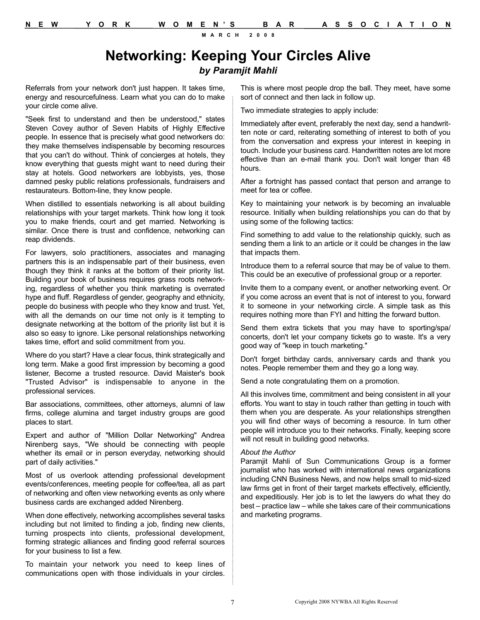## **Networking: Keeping Your Circles Alive** *by Paramjit Mahli*

Referrals from your network don't just happen. It takes time, energy and resourcefulness. Learn what you can do to make your circle come alive.

"Seek first to understand and then be understood," states Steven Covey author of Seven Habits of Highly Effective people. In essence that is precisely what good networkers do: they make themselves indispensable by becoming resources that you can't do without. Think of concierges at hotels, they know everything that guests might want to need during their stay at hotels. Good networkers are lobbyists, yes, those damned pesky public relations professionals, fundraisers and restaurateurs. Bottom-line, they know people.

When distilled to essentials networking is all about building relationships with your target markets. Think how long it took you to make friends, court and get married. Networking is similar. Once there is trust and confidence, networking can reap dividends.

For lawyers, solo practitioners, associates and managing partners this is an indispensable part of their business, even though they think it ranks at the bottom of their priority list. Building your book of business requires grass roots networking, regardless of whether you think marketing is overrated hype and fluff. Regardless of gender, geography and ethnicity, people do business with people who they know and trust. Yet, with all the demands on our time not only is it tempting to designate networking at the bottom of the priority list but it is also so easy to ignore. Like personal relationships networking takes time, effort and solid commitment from you.

Where do you start? Have a clear focus, think strategically and long term. Make a good first impression by becoming a good listener, Become a trusted resource. David Maister's book "Trusted Advisor" is indispensable to anyone in the professional services.

Bar associations, committees, other attorneys, alumni of law firms, college alumina and target industry groups are good places to start.

Expert and author of "Million Dollar Networking" Andrea Nirenberg says, "We should be connecting with people whether its email or in person everyday, networking should part of daily activities."

Most of us overlook attending professional development events/conferences, meeting people for coffee/tea, all as part of networking and often view networking events as only where business cards are exchanged added Nirenberg.

When done effectively, networking accomplishes several tasks including but not limited to finding a job, finding new clients, turning prospects into clients, professional development, forming strategic alliances and finding good referral sources for your business to list a few.

To maintain your network you need to keep lines of communications open with those individuals in your circles.

This is where most people drop the ball. They meet, have some sort of connect and then lack in follow up.

Two immediate strategies to apply include:

Immediately after event, preferably the next day, send a handwritten note or card, reiterating something of interest to both of you from the conversation and express your interest in keeping in touch. Include your business card. Handwritten notes are lot more effective than an e-mail thank you. Don't wait longer than 48 hours.

After a fortnight has passed contact that person and arrange to meet for tea or coffee.

Key to maintaining your network is by becoming an invaluable resource. Initially when building relationships you can do that by using some of the following tactics:

Find something to add value to the relationship quickly, such as sending them a link to an article or it could be changes in the law that impacts them.

Introduce them to a referral source that may be of value to them. This could be an executive of professional group or a reporter.

Invite them to a company event, or another networking event. Or if you come across an event that is not of interest to you, forward it to someone in your networking circle. A simple task as this requires nothing more than FYI and hitting the forward button.

Send them extra tickets that you may have to sporting/spa/ concerts, don't let your company tickets go to waste. It's a very good way of "keep in touch marketing."

Don't forget birthday cards, anniversary cards and thank you notes. People remember them and they go a long way.

Send a note congratulating them on a promotion.

All this involves time, commitment and being consistent in all your efforts. You want to stay in touch rather than getting in touch with them when you are desperate. As your relationships strengthen you will find other ways of becoming a resource. In turn other people will introduce you to their networks. Finally, keeping score will not result in building good networks.

#### *About the Author*

Paramjit Mahli of Sun Communications Group is a former journalist who has worked with international news organizations including CNN Business News, and now helps small to mid-sized law firms get in front of their target markets effectively, efficiently, and expeditiously. Her job is to let the lawyers do what they do best – practice law – while she takes care of their communications and marketing programs.